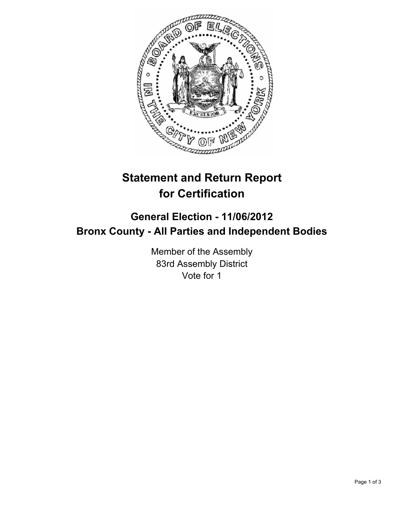

## **Statement and Return Report for Certification**

## **General Election - 11/06/2012 Bronx County - All Parties and Independent Bodies**

Member of the Assembly 83rd Assembly District Vote for 1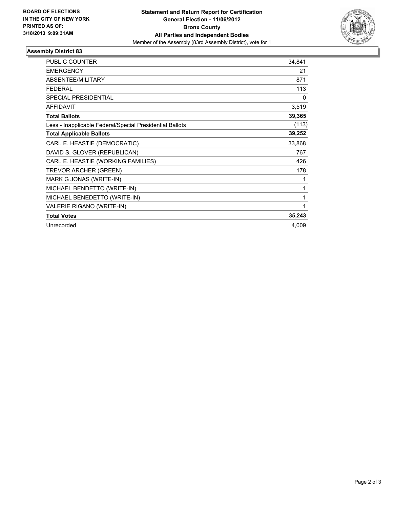

## **Assembly District 83**

| <b>PUBLIC COUNTER</b>                                    | 34,841 |
|----------------------------------------------------------|--------|
| <b>EMERGENCY</b>                                         | 21     |
| <b>ABSENTEE/MILITARY</b>                                 | 871    |
| <b>FEDERAL</b>                                           | 113    |
| <b>SPECIAL PRESIDENTIAL</b>                              | 0      |
| <b>AFFIDAVIT</b>                                         | 3,519  |
| <b>Total Ballots</b>                                     | 39,365 |
| Less - Inapplicable Federal/Special Presidential Ballots | (113)  |
| <b>Total Applicable Ballots</b>                          | 39,252 |
| CARL E. HEASTIE (DEMOCRATIC)                             | 33,868 |
| DAVID S. GLOVER (REPUBLICAN)                             | 767    |
| CARL E. HEASTIE (WORKING FAMILIES)                       | 426    |
| TREVOR ARCHER (GREEN)                                    | 178    |
| MARK G JONAS (WRITE-IN)                                  | 1      |
| MICHAEL BENDETTO (WRITE-IN)                              | 1      |
| MICHAEL BENEDETTO (WRITE-IN)                             | 1      |
| VALERIE RIGANO (WRITE-IN)                                | 1      |
| <b>Total Votes</b>                                       | 35,243 |
| Unrecorded                                               | 4,009  |